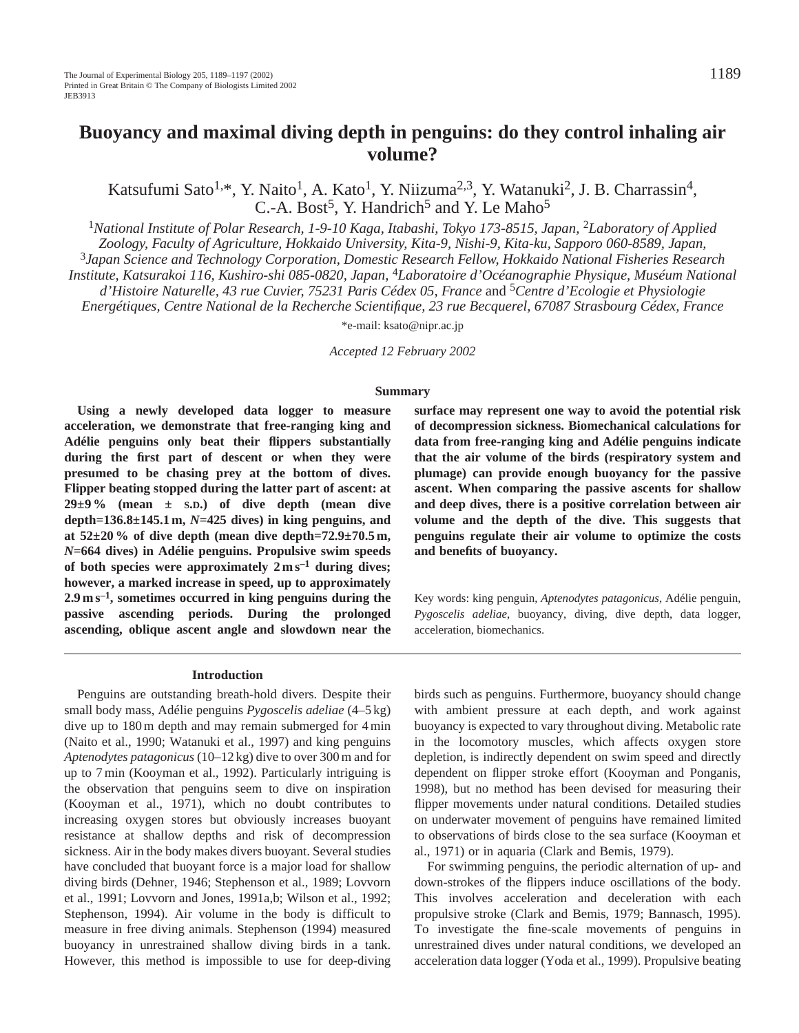Katsufumi Sato<sup>1,\*</sup>, Y. Naito<sup>1</sup>, A. Kato<sup>1</sup>, Y. Niizuma<sup>2,3</sup>, Y. Watanuki<sup>2</sup>, J. B. Charrassin<sup>4</sup>, C.-A. Bost<sup>5</sup>, Y. Handrich<sup>5</sup> and Y. Le Maho<sup>5</sup>

<sup>1</sup>National Institute of Polar Research, 1-9-10 Kaga, Itabashi, Tokyo 173-8515, Japan, <sup>2</sup>Laboratory of Applied *Zoology, Faculty of Agriculture, Hokkaido University, Kita-9, Nishi-9, Kita-ku, Sapporo 060-8589, Japan,* <sup>3</sup>*Japan Science and Technology Corporation, Domestic Research Fellow, Hokkaido National Fisheries Research Institute, Katsurakoi 116, Kushiro-shi 085-0820, Japan,* 4*Laboratoire d'Océanographie Physique, Muséum National d'Histoire Naturelle, 43 rue Cuvier, 75231 Paris Cédex 05, France* and 5*Centre d'Ecologie et Physiologie Energétiques, Centre National de la Recherche Scientifique, 23 rue Becquerel, 67087 Strasbourg Cédex, France*

\*e-mail: ksato@nipr.ac.jp

*Accepted 12 February 2002* 

### **Summary**

**Using a newly developed data logger to measure acceleration, we demonstrate that free-ranging king and Adélie penguins only beat their flippers substantially during the first part of descent or when they were presumed to be chasing prey at the bottom of dives. Flipper beating stopped during the latter part of ascent: at 29±9 % (mean ± S.D.) of dive depth (mean dive depth=136.8±145.1 m,** *N***=425 dives) in king penguins, and at 52±20 % of dive depth (mean dive depth=72.9±70.5 m,** *N***=664 dives) in Adélie penguins. Propulsive swim speeds of both species were approximately 2 m s–1 during dives; however, a marked increase in speed, up to approximately 2.9 m s–1, sometimes occurred in king penguins during the passive ascending periods. During the prolonged ascending, oblique ascent angle and slowdown near the** **surface may represent one way to avoid the potential risk of decompression sickness. Biomechanical calculations for data from free-ranging king and Adélie penguins indicate that the air volume of the birds (respiratory system and plumage) can provide enough buoyancy for the passive ascent. When comparing the passive ascents for shallow and deep dives, there is a positive correlation between air volume and the depth of the dive. This suggests that penguins regulate their air volume to optimize the costs and benefits of buoyancy.**

Key words: king penguin, *Aptenodytes patagonicus,* Adélie penguin, *Pygoscelis adeliae*, buoyancy, diving, dive depth, data logger, acceleration, biomechanics.

### **Introduction**

Penguins are outstanding breath-hold divers. Despite their small body mass, Adélie penguins *Pygoscelis adeliae* (4–5 kg) dive up to 180 m depth and may remain submerged for 4 min (Naito et al., 1990; Watanuki et al., 1997) and king penguins *Aptenodytes patagonicus* (10–12 kg) dive to over 300 m and for up to 7 min (Kooyman et al., 1992). Particularly intriguing is the observation that penguins seem to dive on inspiration (Kooyman et al., 1971), which no doubt contributes to increasing oxygen stores but obviously increases buoyant resistance at shallow depths and risk of decompression sickness. Air in the body makes divers buoyant. Several studies have concluded that buoyant force is a major load for shallow diving birds (Dehner, 1946; Stephenson et al., 1989; Lovvorn et al., 1991; Lovvorn and Jones, 1991a,b; Wilson et al., 1992; Stephenson, 1994). Air volume in the body is difficult to measure in free diving animals. Stephenson (1994) measured buoyancy in unrestrained shallow diving birds in a tank. However, this method is impossible to use for deep-diving birds such as penguins. Furthermore, buoyancy should change with ambient pressure at each depth, and work against buoyancy is expected to vary throughout diving. Metabolic rate in the locomotory muscles, which affects oxygen store depletion, is indirectly dependent on swim speed and directly dependent on flipper stroke effort (Kooyman and Ponganis, 1998), but no method has been devised for measuring their flipper movements under natural conditions. Detailed studies on underwater movement of penguins have remained limited to observations of birds close to the sea surface (Kooyman et al., 1971) or in aquaria (Clark and Bemis, 1979).

For swimming penguins, the periodic alternation of up- and down-strokes of the flippers induce oscillations of the body. This involves acceleration and deceleration with each propulsive stroke (Clark and Bemis, 1979; Bannasch, 1995). To investigate the fine-scale movements of penguins in unrestrained dives under natural conditions, we developed an acceleration data logger (Yoda et al., 1999). Propulsive beating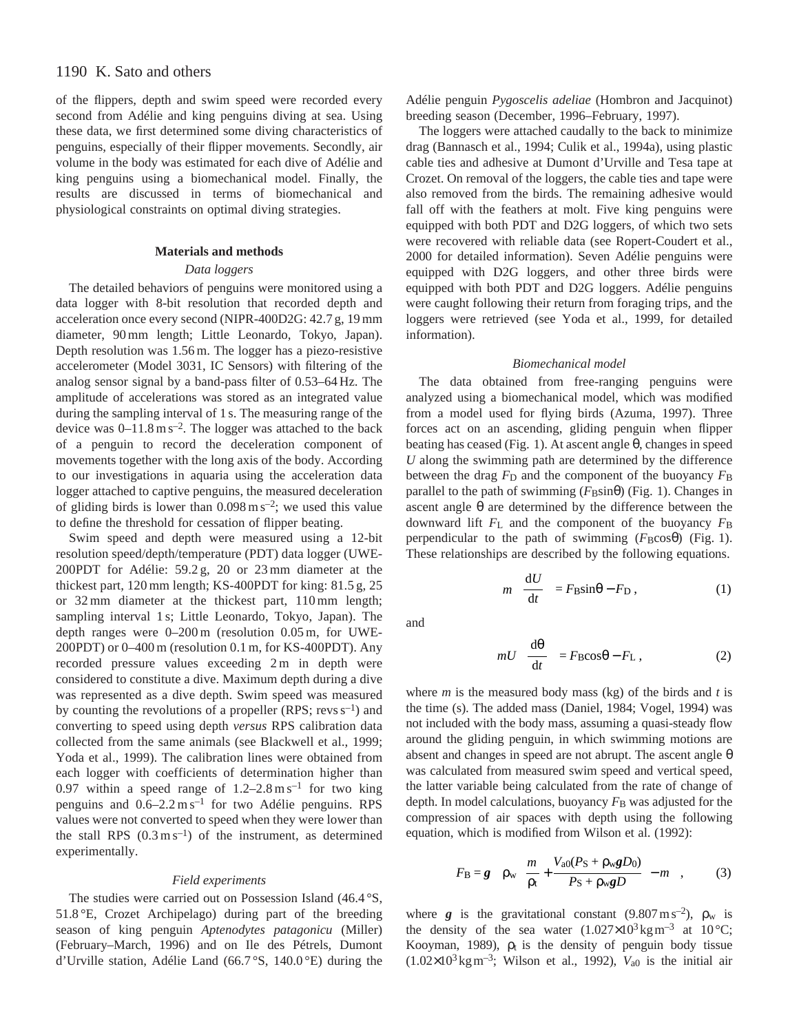# 1190 K. Sato and others

of the flippers, depth and swim speed were recorded every second from Adélie and king penguins diving at sea. Using these data, we first determined some diving characteristics of penguins, especially of their flipper movements. Secondly, air volume in the body was estimated for each dive of Adélie and king penguins using a biomechanical model. Finally, the results are discussed in terms of biomechanical and physiological constraints on optimal diving strategies.

## **Materials and methods**

## *Data loggers*

The detailed behaviors of penguins were monitored using a data logger with 8-bit resolution that recorded depth and acceleration once every second (NIPR-400D2G: 42.7 g, 19 mm diameter, 90 mm length; Little Leonardo, Tokyo, Japan). Depth resolution was 1.56 m. The logger has a piezo-resistive accelerometer (Model 3031, IC Sensors) with filtering of the analog sensor signal by a band-pass filter of 0.53–64 Hz. The amplitude of accelerations was stored as an integrated value during the sampling interval of 1 s. The measuring range of the device was  $0-11.8 \text{ m s}^{-2}$ . The logger was attached to the back of a penguin to record the deceleration component of movements together with the long axis of the body. According to our investigations in aquaria using the acceleration data logger attached to captive penguins, the measured deceleration of gliding birds is lower than  $0.098 \text{ m s}^{-2}$ ; we used this value to define the threshold for cessation of flipper beating.

Swim speed and depth were measured using a 12-bit resolution speed/depth/temperature (PDT) data logger (UWE-200PDT for Adélie: 59.2 g, 20 or 23 mm diameter at the thickest part, 120 mm length; KS-400PDT for king: 81.5 g, 25 or 32 mm diameter at the thickest part, 110 mm length; sampling interval 1 s; Little Leonardo, Tokyo, Japan). The depth ranges were 0–200 m (resolution 0.05 m, for UWE-200PDT) or 0–400 m (resolution 0.1 m, for KS-400PDT). Any recorded pressure values exceeding 2 m in depth were considered to constitute a dive. Maximum depth during a dive was represented as a dive depth. Swim speed was measured by counting the revolutions of a propeller (RPS; revs  $s^{-1}$ ) and converting to speed using depth *versus* RPS calibration data collected from the same animals (see Blackwell et al., 1999; Yoda et al., 1999). The calibration lines were obtained from each logger with coefficients of determination higher than 0.97 within a speed range of  $1.2-2.8 \text{ m s}^{-1}$  for two king penguins and  $0.6-2.2 \text{ m s}^{-1}$  for two Adélie penguins. RPS values were not converted to speed when they were lower than the stall RPS  $(0.3 \text{ m s}^{-1})$  of the instrument, as determined experimentally.

## *Field experiments*

The studies were carried out on Possession Island (46.4 °S, 51.8 °E, Crozet Archipelago) during part of the breeding season of king penguin *Aptenodytes patagonicu* (Miller) (February–March, 1996) and on Ile des Pétrels, Dumont d'Urville station, Adélie Land (66.7 °S, 140.0 °E) during the

Adélie penguin *Pygoscelis adeliae* (Hombron and Jacquinot) breeding season (December, 1996–February, 1997).

The loggers were attached caudally to the back to minimize drag (Bannasch et al., 1994; Culik et al., 1994a), using plastic cable ties and adhesive at Dumont d'Urville and Tesa tape at Crozet. On removal of the loggers, the cable ties and tape were also removed from the birds. The remaining adhesive would fall off with the feathers at molt. Five king penguins were equipped with both PDT and D2G loggers, of which two sets were recovered with reliable data (see Ropert-Coudert et al., 2000 for detailed information). Seven Adélie penguins were equipped with D2G loggers, and other three birds were equipped with both PDT and D2G loggers. Adélie penguins were caught following their return from foraging trips, and the loggers were retrieved (see Yoda et al., 1999, for detailed information).

### *Biomechanical model*

The data obtained from free-ranging penguins were analyzed using a biomechanical model, which was modified from a model used for flying birds (Azuma, 1997). Three forces act on an ascending, gliding penguin when flipper beating has ceased (Fig. 1). At ascent angle θ, changes in speed *U* along the swimming path are determined by the difference between the drag  $F<sub>D</sub>$  and the component of the buoyancy  $F<sub>B</sub>$ parallel to the path of swimming  $(F_B \sin \theta)$  (Fig. 1). Changes in ascent angle θ are determined by the difference between the downward lift  $F<sub>L</sub>$  and the component of the buoyancy  $F<sub>B</sub>$ perpendicular to the path of swimming  $(F_B \cos \theta)$  (Fig. 1). These relationships are described by the following equations.

$$
m\left(\frac{\mathrm{d}U}{\mathrm{d}t}\right) = F_{\mathrm{B}}\sin\theta - F_{\mathrm{D}}\,,\tag{1}
$$

and

$$
mU\left(\frac{d\theta}{dt}\right) = F_B \cos\theta - F_L,
$$
 (2)

where *m* is the measured body mass (kg) of the birds and *t* is the time (s). The added mass (Daniel, 1984; Vogel, 1994) was not included with the body mass, assuming a quasi-steady flow around the gliding penguin, in which swimming motions are absent and changes in speed are not abrupt. The ascent angle  $\theta$ was calculated from measured swim speed and vertical speed, the latter variable being calculated from the rate of change of depth. In model calculations, buoyancy  $F<sub>B</sub>$  was adjusted for the compression of air spaces with depth using the following equation, which is modified from Wilson et al. (1992):

$$
F_{\rm B} = g \left\{ \rho_{\rm w} \left[ \frac{m}{\rho_{\rm t}} + \frac{V_{\rm a0}(P_{\rm S} + \rho_{\rm w}gD_{0})}{P_{\rm S} + \rho_{\rm w}gD} \right] - m \right\},\qquad(3)
$$

where *g* is the gravitational constant (9.807 m s<sup>-2</sup>),  $\rho_w$  is the density of the sea water  $(1.027 \times 10^3 \text{ kg m}^{-3}$  at 10 °C; Kooyman, 1989),  $\rho_t$  is the density of penguin body tissue  $(1.02\times10^3 \text{ kg m}^{-3})$ ; Wilson et al., 1992),  $V_{a0}$  is the initial air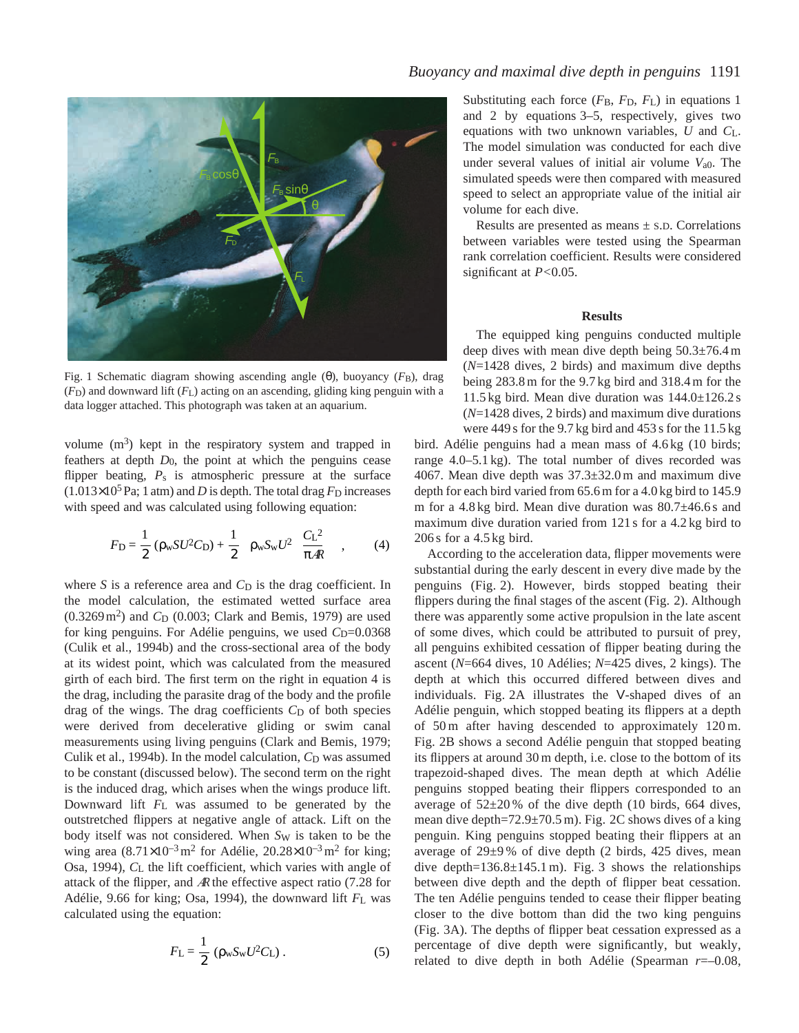

Fig. 1 Schematic diagram showing ascending angle (θ), buoyancy (*F*B), drag  $(F<sub>D</sub>)$  and downward lift  $(F<sub>L</sub>)$  acting on an ascending, gliding king penguin with a data logger attached. This photograph was taken at an aquarium.

volume  $(m^3)$  kept in the respiratory system and trapped in feathers at depth *D*0, the point at which the penguins cease flipper beating,  $P_s$  is atmospheric pressure at the surface  $(1.013\times10^5 \,\text{Pa}; 1 \text{ atm})$  and *D* is depth. The total drag *F*<sub>D</sub> increases with speed and was calculated using following equation:

$$
F_{\rm D} = \frac{1}{2} \left( \rho_{\rm w} S U^2 C_{\rm D} \right) + \frac{1}{2} \left[ \rho_{\rm w} S_{\rm w} U^2 \left( \frac{C_{\rm L}^2}{\pi A R} \right) \right],\tag{4}
$$

where  $S$  is a reference area and  $C_D$  is the drag coefficient. In the model calculation, the estimated wetted surface area (0.3269 m<sup>2</sup>) and *C*<sub>D</sub> (0.003; Clark and Bemis, 1979) are used for king penguins. For Adélie penguins, we used C<sub>D</sub>=0.0368 (Culik et al., 1994b) and the cross-sectional area of the body at its widest point, which was calculated from the measured girth of each bird. The first term on the right in equation 4 is the drag, including the parasite drag of the body and the profile drag of the wings. The drag coefficients  $C<sub>D</sub>$  of both species were derived from decelerative gliding or swim canal measurements using living penguins (Clark and Bemis, 1979; Culik et al., 1994b). In the model calculation, *C*<sub>D</sub> was assumed to be constant (discussed below). The second term on the right is the induced drag, which arises when the wings produce lift. Downward lift *F*L was assumed to be generated by the outstretched flippers at negative angle of attack. Lift on the body itself was not considered. When S<sub>W</sub> is taken to be the wing area  $(8.71\times10^{-3} \text{ m}^2 \text{ for Adélie}, 20.28\times10^{-3} \text{ m}^2 \text{ for king};$ Osa, 1994), *C*L the lift coefficient, which varies with angle of attack of the flipper, and <sup>A</sup><sup>R</sup> the effective aspect ratio (7.28 for Adélie, 9.66 for king; Osa, 1994), the downward lift *F*L was calculated using the equation:

$$
F_{\rm L} = \frac{1}{2} \left( \rho_{\rm w} S_{\rm w} U^2 C_{\rm L} \right). \tag{5}
$$

Substituting each force  $(F_B, F_D, F_L)$  in equations 1 and 2 by equations 3–5, respectively, gives two equations with two unknown variables, *U* and *C*L. The model simulation was conducted for each dive under several values of initial air volume *V*a0. The simulated speeds were then compared with measured speed to select an appropriate value of the initial air volume for each dive.

Results are presented as means  $\pm$  s.D. Correlations between variables were tested using the Spearman rank correlation coefficient. Results were considered significant at *P<*0.05.

# **Results**

The equipped king penguins conducted multiple deep dives with mean dive depth being 50.3±76.4 m (*N*=1428 dives, 2 birds) and maximum dive depths being 283.8 m for the 9.7 kg bird and 318.4 m for the 11.5 kg bird. Mean dive duration was 144.0±126.2 s (*N*=1428 dives, 2 birds) and maximum dive durations were 449 s for the 9.7 kg bird and 453 s for the 11.5 kg

bird. Adélie penguins had a mean mass of 4.6 kg (10 birds; range 4.0–5.1 kg). The total number of dives recorded was 4067. Mean dive depth was 37.3±32.0 m and maximum dive depth for each bird varied from 65.6 m for a 4.0 kg bird to 145.9 m for a 4.8 kg bird. Mean dive duration was 80.7±46.6 s and maximum dive duration varied from 121 s for a 4.2 kg bird to 206 s for a 4.5 kg bird.

According to the acceleration data, flipper movements were substantial during the early descent in every dive made by the penguins (Fig. 2). However, birds stopped beating their flippers during the final stages of the ascent (Fig. 2). Although there was apparently some active propulsion in the late ascent of some dives, which could be attributed to pursuit of prey, all penguins exhibited cessation of flipper beating during the ascent (*N*=664 dives, 10 Adélies; *N*=425 dives, 2 kings). The depth at which this occurred differed between dives and individuals. Fig. 2A illustrates the V-shaped dives of an Adélie penguin, which stopped beating its flippers at a depth of 50 m after having descended to approximately 120 m. Fig. 2B shows a second Adélie penguin that stopped beating its flippers at around 30 m depth, i.e. close to the bottom of its trapezoid-shaped dives. The mean depth at which Adélie penguins stopped beating their flippers corresponded to an average of  $52\pm20\%$  of the dive depth (10 birds, 664 dives, mean dive depth=72.9±70.5 m). Fig. 2C shows dives of a king penguin. King penguins stopped beating their flippers at an average of 29±9 % of dive depth (2 birds, 425 dives, mean dive depth= $136.8 \pm 145.1$  m). Fig. 3 shows the relationships between dive depth and the depth of flipper beat cessation. The ten Adélie penguins tended to cease their flipper beating closer to the dive bottom than did the two king penguins (Fig. 3A). The depths of flipper beat cessation expressed as a percentage of dive depth were significantly, but weakly, related to dive depth in both Adélie (Spearman  $r=-0.08$ ,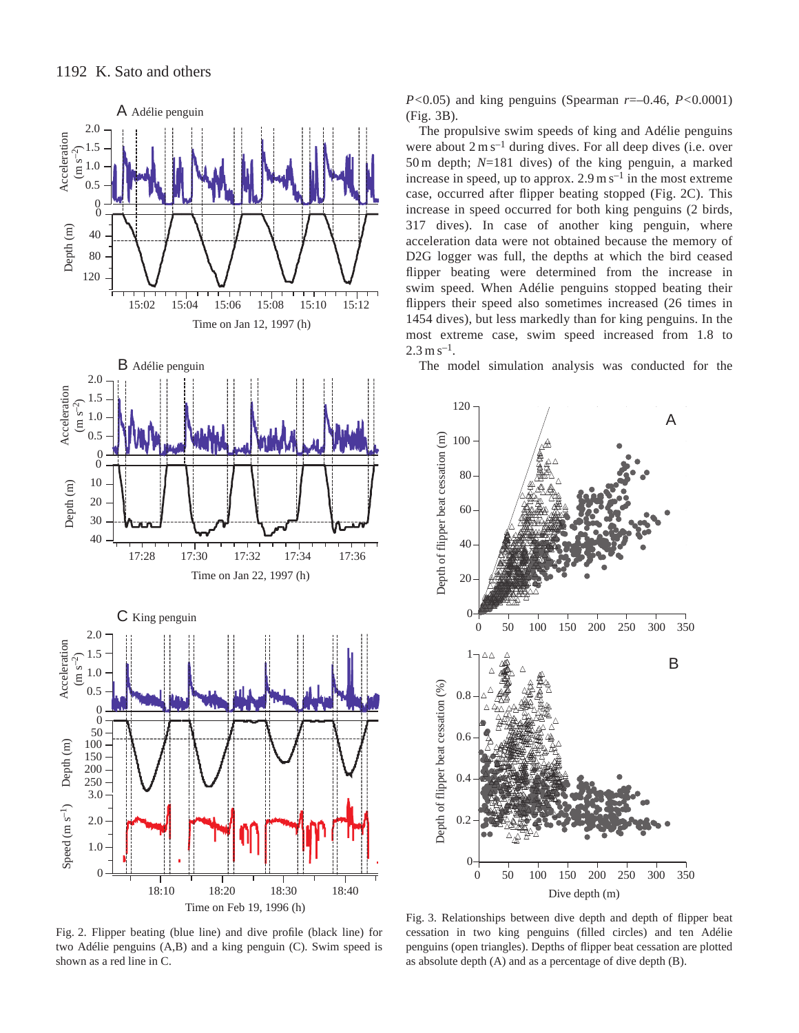

Fig. 2. Flipper beating (blue line) and dive profile (black line) for two Adélie penguins (A,B) and a king penguin (C). Swim speed is shown as a red line in C.

*P<*0.05) and king penguins (Spearman *r*=–0.46, *P<*0.0001) (Fig. 3B).

The propulsive swim speeds of king and Adélie penguins were about  $2 \text{ m s}^{-1}$  during dives. For all deep dives (i.e. over 50 m depth; *N*=181 dives) of the king penguin, a marked increase in speed, up to approx.  $2.9 \text{ m s}^{-1}$  in the most extreme case, occurred after flipper beating stopped (Fig. 2C). This increase in speed occurred for both king penguins (2 birds, 317 dives). In case of another king penguin, where acceleration data were not obtained because the memory of D2G logger was full, the depths at which the bird ceased flipper beating were determined from the increase in swim speed. When Adélie penguins stopped beating their flippers their speed also sometimes increased (26 times in 1454 dives), but less markedly than for king penguins. In the most extreme case, swim speed increased from 1.8 to  $2.3 \text{ m s}^{-1}$ .

The model simulation analysis was conducted for the



Fig. 3. Relationships between dive depth and depth of flipper beat cessation in two king penguins (filled circles) and ten Adélie penguins (open triangles). Depths of flipper beat cessation are plotted as absolute depth (A) and as a percentage of dive depth (B).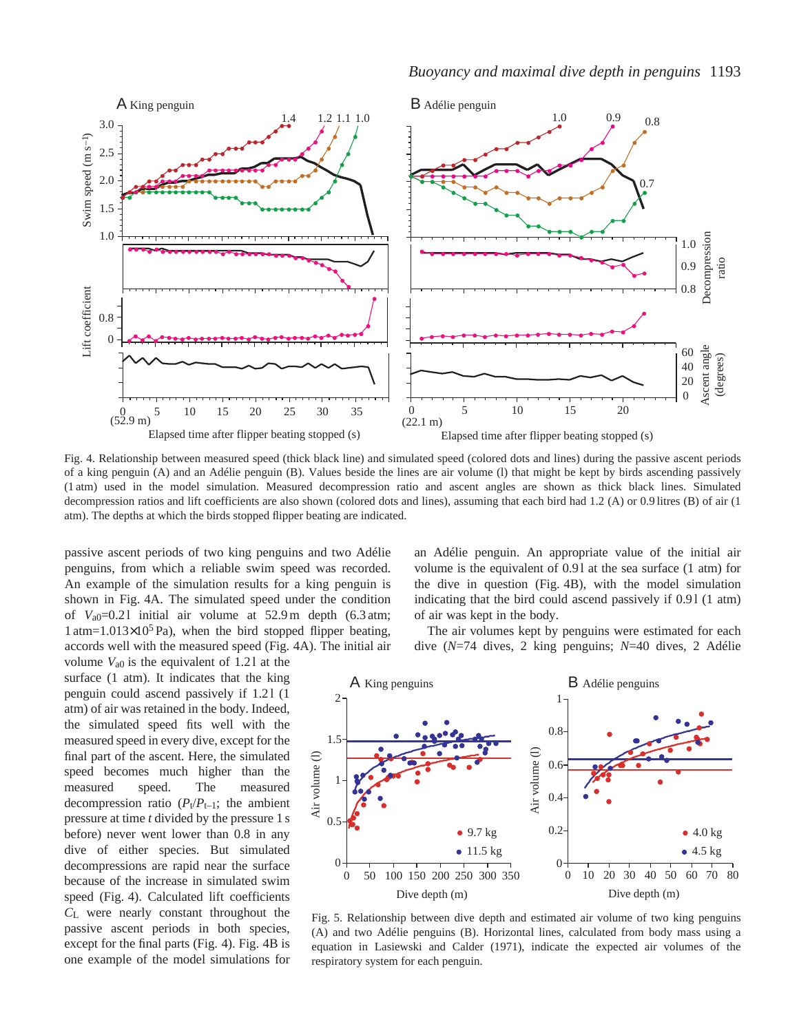

Fig. 4. Relationship between measured speed (thick black line) and simulated speed (colored dots and lines) during the passive ascent periods of a king penguin (A) and an Adélie penguin (B). Values beside the lines are air volume (l) that might be kept by birds ascending passively (1 atm) used in the model simulation. Measured decompression ratio and ascent angles are shown as thick black lines. Simulated decompression ratios and lift coefficients are also shown (colored dots and lines), assuming that each bird had 1.2 (A) or 0.9 litres (B) of air (1 atm). The depths at which the birds stopped flipper beating are indicated.

passive ascent periods of two king penguins and two Adélie penguins, from which a reliable swim speed was recorded. An example of the simulation results for a king penguin is shown in Fig. 4A. The simulated speed under the condition of  $V_{a0}=0.21$  initial air volume at 52.9 m depth  $(6.3 \text{ atm})$ ;  $1 atm=1.013\times10^{5} Pa$ , when the bird stopped flipper beating, accords well with the measured speed (Fig. 4A). The initial air

volume  $V_{a0}$  is the equivalent of 1.21 at the surface (1 atm). It indicates that the king penguin could ascend passively if 1.21 (1) atm) of air was retained in the body. Indeed, the simulated speed fits well with the measured speed in every dive, except for the final part of the ascent. Here, the simulated speed becomes much higher than the measured speed. The measured decompression ratio  $(P_t/P_{t-1})$ ; the ambient pressure at time *t* divided by the pressure 1 s before) never went lower than 0.8 in any dive of either species. But simulated decompressions are rapid near the surface because of the increase in simulated swim speed (Fig. 4). Calculated lift coefficients *C*L were nearly constant throughout the passive ascent periods in both species, except for the final parts (Fig. 4). Fig. 4B is one example of the model simulations for an Adélie penguin. An appropriate value of the initial air volume is the equivalent of 0.9 l at the sea surface (1 atm) for the dive in question (Fig. 4B), with the model simulation indicating that the bird could ascend passively if 0.91 (1 atm) of air was kept in the body.

The air volumes kept by penguins were estimated for each dive (*N*=74 dives, 2 king penguins; *N*=40 dives, 2 Adélie



Fig. 5. Relationship between dive depth and estimated air volume of two king penguins (A) and two Adélie penguins (B). Horizontal lines, calculated from body mass using a equation in Lasiewski and Calder (1971), indicate the expected air volumes of the respiratory system for each penguin.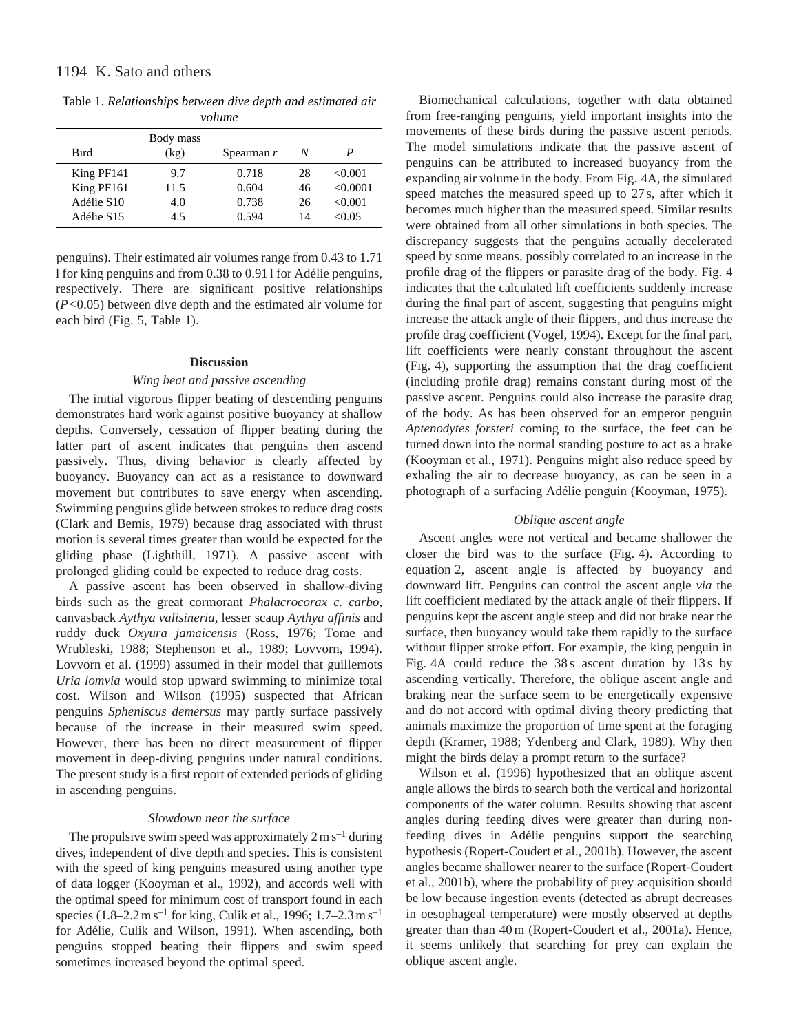Table 1. *Relationships between dive depth and estimated air volume*

| , , , , , , , , , |           |            |    |          |  |  |  |  |  |
|-------------------|-----------|------------|----|----------|--|--|--|--|--|
|                   | Body mass |            |    |          |  |  |  |  |  |
| <b>Bird</b>       | (kg)      | Spearman r | N  | P        |  |  |  |  |  |
| King PF141        | 9.7       | 0.718      | 28 | < 0.001  |  |  |  |  |  |
| King PF161        | 11.5      | 0.604      | 46 | < 0.0001 |  |  |  |  |  |
| Adélie S10        | 4.0       | 0.738      | 26 | < 0.001  |  |  |  |  |  |
| Adélie S15        | 4.5       | 0.594      | 14 | < 0.05   |  |  |  |  |  |

penguins). Their estimated air volumes range from 0.43 to 1.71 l for king penguins and from 0.38 to 0.91 l for Adélie penguins, respectively. There are significant positive relationships (*P<*0.05) between dive depth and the estimated air volume for each bird (Fig. 5, Table 1).

## **Discussion**

# *Wing beat and passive ascending*

The initial vigorous flipper beating of descending penguins demonstrates hard work against positive buoyancy at shallow depths. Conversely, cessation of flipper beating during the latter part of ascent indicates that penguins then ascend passively. Thus, diving behavior is clearly affected by buoyancy. Buoyancy can act as a resistance to downward movement but contributes to save energy when ascending. Swimming penguins glide between strokes to reduce drag costs (Clark and Bemis, 1979) because drag associated with thrust motion is several times greater than would be expected for the gliding phase (Lighthill, 1971). A passive ascent with prolonged gliding could be expected to reduce drag costs.

A passive ascent has been observed in shallow-diving birds such as the great cormorant *Phalacrocorax c. carbo*, canvasback *Aythya valisineria*, lesser scaup *Aythya affinis* and ruddy duck *Oxyura jamaicensis* (Ross, 1976; Tome and Wrubleski, 1988; Stephenson et al., 1989; Lovvorn, 1994). Lovvorn et al. (1999) assumed in their model that guillemots *Uria lomvia* would stop upward swimming to minimize total cost. Wilson and Wilson (1995) suspected that African penguins *Spheniscus demersus* may partly surface passively because of the increase in their measured swim speed. However, there has been no direct measurement of flipper movement in deep-diving penguins under natural conditions. The present study is a first report of extended periods of gliding in ascending penguins.

# *Slowdown near the surface*

The propulsive swim speed was approximately  $2 \text{ m s}^{-1}$  during dives, independent of dive depth and species. This is consistent with the speed of king penguins measured using another type of data logger (Kooyman et al., 1992), and accords well with the optimal speed for minimum cost of transport found in each species (1.8–2.2 m s<sup>-1</sup> for king, Culik et al., 1996; 1.7–2.3 m s<sup>-1</sup> for Adélie, Culik and Wilson, 1991). When ascending, both penguins stopped beating their flippers and swim speed sometimes increased beyond the optimal speed.

Biomechanical calculations, together with data obtained from free-ranging penguins, yield important insights into the movements of these birds during the passive ascent periods. The model simulations indicate that the passive ascent of penguins can be attributed to increased buoyancy from the expanding air volume in the body. From Fig. 4A, the simulated speed matches the measured speed up to 27 s, after which it becomes much higher than the measured speed. Similar results were obtained from all other simulations in both species. The discrepancy suggests that the penguins actually decelerated speed by some means, possibly correlated to an increase in the profile drag of the flippers or parasite drag of the body. Fig. 4 indicates that the calculated lift coefficients suddenly increase during the final part of ascent, suggesting that penguins might increase the attack angle of their flippers, and thus increase the profile drag coefficient (Vogel, 1994). Except for the final part, lift coefficients were nearly constant throughout the ascent (Fig. 4), supporting the assumption that the drag coefficient (including profile drag) remains constant during most of the passive ascent. Penguins could also increase the parasite drag of the body. As has been observed for an emperor penguin *Aptenodytes forsteri* coming to the surface, the feet can be turned down into the normal standing posture to act as a brake (Kooyman et al., 1971). Penguins might also reduce speed by exhaling the air to decrease buoyancy, as can be seen in a photograph of a surfacing Adélie penguin (Kooyman, 1975).

# *Oblique ascent angle*

Ascent angles were not vertical and became shallower the closer the bird was to the surface (Fig. 4). According to equation 2, ascent angle is affected by buoyancy and downward lift. Penguins can control the ascent angle *via* the lift coefficient mediated by the attack angle of their flippers. If penguins kept the ascent angle steep and did not brake near the surface, then buoyancy would take them rapidly to the surface without flipper stroke effort. For example, the king penguin in Fig. 4A could reduce the 38s ascent duration by 13s by ascending vertically. Therefore, the oblique ascent angle and braking near the surface seem to be energetically expensive and do not accord with optimal diving theory predicting that animals maximize the proportion of time spent at the foraging depth (Kramer, 1988; Ydenberg and Clark, 1989). Why then might the birds delay a prompt return to the surface?

Wilson et al. (1996) hypothesized that an oblique ascent angle allows the birds to search both the vertical and horizontal components of the water column. Results showing that ascent angles during feeding dives were greater than during nonfeeding dives in Adélie penguins support the searching hypothesis (Ropert-Coudert et al., 2001b). However, the ascent angles became shallower nearer to the surface (Ropert-Coudert et al., 2001b), where the probability of prey acquisition should be low because ingestion events (detected as abrupt decreases in oesophageal temperature) were mostly observed at depths greater than than 40 m (Ropert-Coudert et al., 2001a). Hence, it seems unlikely that searching for prey can explain the oblique ascent angle.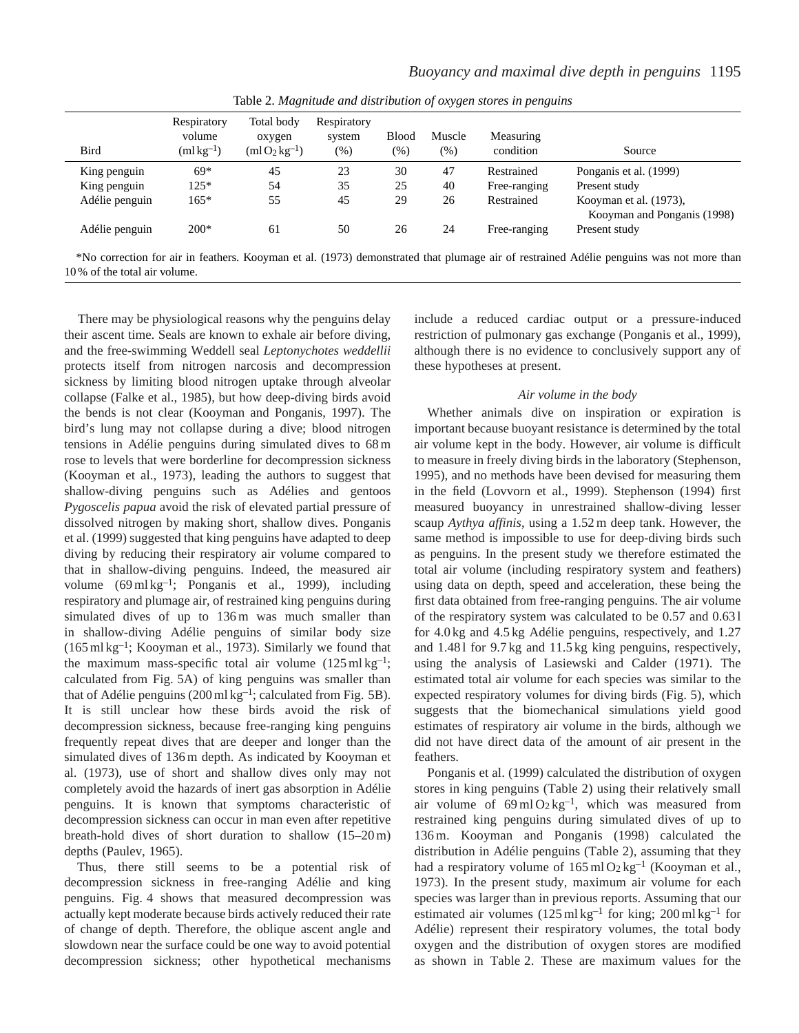| Bird           | Respiratory<br>volume<br>$(m1 \text{kg}^{-1})$ | Total body<br>oxygen<br>$(m1O_2kg^{-1})$ | Respiratory<br>system<br>$(\%)$ | <b>Blood</b><br>$(\% )$ | Muscle<br>$(\%)$ | Measuring<br>condition | Source                                                                                                                                  |
|----------------|------------------------------------------------|------------------------------------------|---------------------------------|-------------------------|------------------|------------------------|-----------------------------------------------------------------------------------------------------------------------------------------|
| King penguin   | $69*$                                          | 45                                       | 23                              | 30                      | 47               | Restrained             | Ponganis et al. (1999)                                                                                                                  |
| King penguin   | $125*$                                         | 54                                       | 35                              | 25                      | 40               | Free-ranging           | Present study                                                                                                                           |
| Adélie penguin | $165*$                                         | 55                                       | 45                              | 29                      | 26               | Restrained             | Kooyman et al. (1973),<br>Kooyman and Ponganis (1998)                                                                                   |
| Adélie penguin | $200*$                                         | 61                                       | 50                              | 26                      | 24               | Free-ranging           | Present study                                                                                                                           |
|                |                                                |                                          |                                 |                         |                  |                        | *No correction for air in feathers. Kooyman et al. (1973) demonstrated that plumage air of restrained Adélie penguins was not more than |

Table 2. *Magnitude and distribution of oxygen stores in penguins*

There may be physiological reasons why the penguins delay their ascent time. Seals are known to exhale air before diving, and the free-swimming Weddell seal *Leptonychotes weddellii* protects itself from nitrogen narcosis and decompression sickness by limiting blood nitrogen uptake through alveolar collapse (Falke et al., 1985), but how deep-diving birds avoid the bends is not clear (Kooyman and Ponganis, 1997). The bird's lung may not collapse during a dive; blood nitrogen tensions in Adélie penguins during simulated dives to 68 m rose to levels that were borderline for decompression sickness (Kooyman et al., 1973), leading the authors to suggest that shallow-diving penguins such as Adélies and gentoos *Pygoscelis papua* avoid the risk of elevated partial pressure of dissolved nitrogen by making short, shallow dives. Ponganis et al. (1999) suggested that king penguins have adapted to deep diving by reducing their respiratory air volume compared to that in shallow-diving penguins. Indeed, the measured air volume (69 ml kg–1; Ponganis et al., 1999), including respiratory and plumage air, of restrained king penguins during simulated dives of up to 136m was much smaller than in shallow-diving Adélie penguins of similar body size (165 ml kg–1; Kooyman et al., 1973). Similarly we found that the maximum mass-specific total air volume  $(125 \text{ ml kg}^{-1})$ ; calculated from Fig. 5A) of king penguins was smaller than that of Adélie penguins (200 ml  $kg^{-1}$ ; calculated from Fig. 5B). It is still unclear how these birds avoid the risk of decompression sickness, because free-ranging king penguins frequently repeat dives that are deeper and longer than the simulated dives of 136 m depth. As indicated by Kooyman et al. (1973), use of short and shallow dives only may not completely avoid the hazards of inert gas absorption in Adélie penguins. It is known that symptoms characteristic of decompression sickness can occur in man even after repetitive breath-hold dives of short duration to shallow (15–20 m) depths (Paulev, 1965).

10 % of the total air volume.

Thus, there still seems to be a potential risk of decompression sickness in free-ranging Adélie and king penguins. Fig. 4 shows that measured decompression was actually kept moderate because birds actively reduced their rate of change of depth. Therefore, the oblique ascent angle and slowdown near the surface could be one way to avoid potential decompression sickness; other hypothetical mechanisms

include a reduced cardiac output or a pressure-induced restriction of pulmonary gas exchange (Ponganis et al., 1999), although there is no evidence to conclusively support any of these hypotheses at present.

# *Air volume in the body*

Whether animals dive on inspiration or expiration is important because buoyant resistance is determined by the total air volume kept in the body. However, air volume is difficult to measure in freely diving birds in the laboratory (Stephenson, 1995), and no methods have been devised for measuring them in the field (Lovvorn et al., 1999). Stephenson (1994) first measured buoyancy in unrestrained shallow-diving lesser scaup *Aythya affinis*, using a 1.52 m deep tank. However, the same method is impossible to use for deep-diving birds such as penguins. In the present study we therefore estimated the total air volume (including respiratory system and feathers) using data on depth, speed and acceleration, these being the first data obtained from free-ranging penguins. The air volume of the respiratory system was calculated to be 0.57 and 0.63 l for 4.0 kg and 4.5 kg Adélie penguins, respectively, and 1.27 and 1.48 l for 9.7 kg and 11.5 kg king penguins, respectively, using the analysis of Lasiewski and Calder (1971). The estimated total air volume for each species was similar to the expected respiratory volumes for diving birds (Fig. 5), which suggests that the biomechanical simulations yield good estimates of respiratory air volume in the birds, although we did not have direct data of the amount of air present in the feathers.

Ponganis et al. (1999) calculated the distribution of oxygen stores in king penguins (Table 2) using their relatively small air volume of  $69 \text{ ml } O_2 \text{ kg}^{-1}$ , which was measured from restrained king penguins during simulated dives of up to 136 m. Kooyman and Ponganis (1998) calculated the distribution in Adélie penguins (Table 2), assuming that they had a respiratory volume of  $165 \text{ ml} O_2 \text{kg}^{-1}$  (Kooyman et al., 1973). In the present study, maximum air volume for each species was larger than in previous reports. Assuming that our estimated air volumes  $(125 \text{ ml kg}^{-1}$  for king;  $200 \text{ ml kg}^{-1}$  for Adélie) represent their respiratory volumes, the total body oxygen and the distribution of oxygen stores are modified as shown in Table 2. These are maximum values for the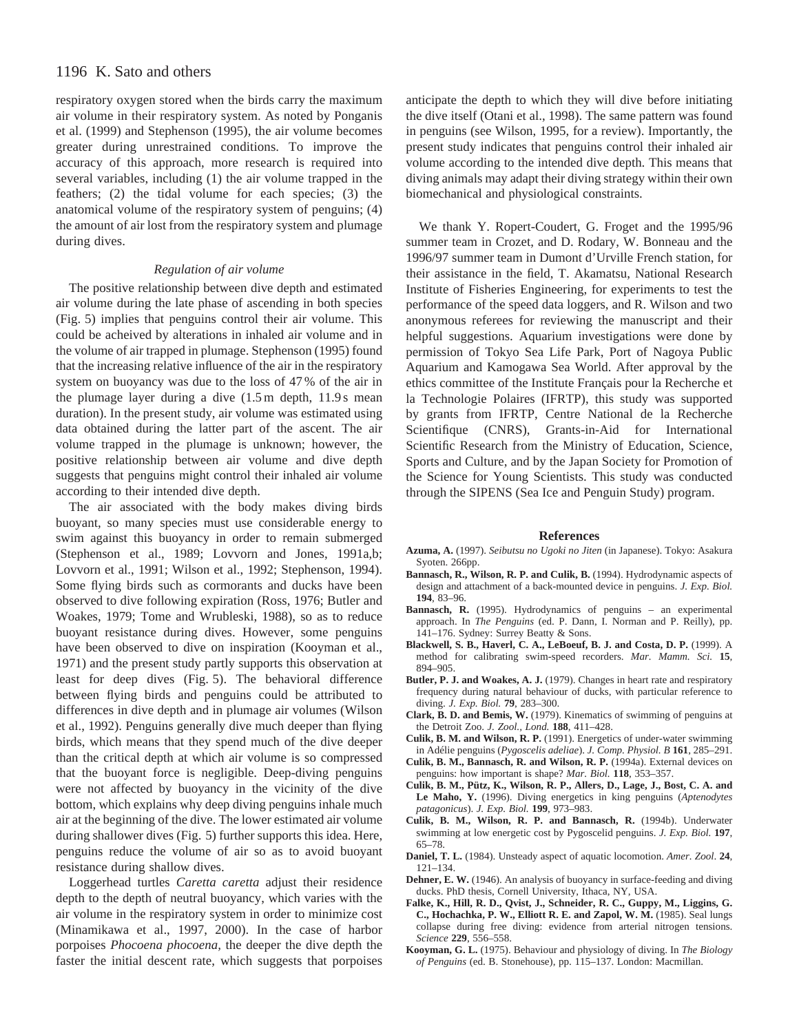# 1196 K. Sato and others

respiratory oxygen stored when the birds carry the maximum air volume in their respiratory system. As noted by Ponganis et al. (1999) and Stephenson (1995), the air volume becomes greater during unrestrained conditions. To improve the accuracy of this approach, more research is required into several variables, including (1) the air volume trapped in the feathers; (2) the tidal volume for each species; (3) the anatomical volume of the respiratory system of penguins; (4) the amount of air lost from the respiratory system and plumage during dives.

#### *Regulation of air volume*

The positive relationship between dive depth and estimated air volume during the late phase of ascending in both species (Fig. 5) implies that penguins control their air volume. This could be acheived by alterations in inhaled air volume and in the volume of air trapped in plumage. Stephenson (1995) found that the increasing relative influence of the air in the respiratory system on buoyancy was due to the loss of 47 % of the air in the plumage layer during a dive  $(1.5 \text{ m}$  depth,  $11.9 \text{ s}$  mean duration). In the present study, air volume was estimated using data obtained during the latter part of the ascent. The air volume trapped in the plumage is unknown; however, the positive relationship between air volume and dive depth suggests that penguins might control their inhaled air volume according to their intended dive depth.

The air associated with the body makes diving birds buoyant, so many species must use considerable energy to swim against this buoyancy in order to remain submerged (Stephenson et al., 1989; Lovvorn and Jones, 1991a,b; Lovvorn et al., 1991; Wilson et al., 1992; Stephenson, 1994). Some flying birds such as cormorants and ducks have been observed to dive following expiration (Ross, 1976; Butler and Woakes, 1979; Tome and Wrubleski, 1988), so as to reduce buoyant resistance during dives. However, some penguins have been observed to dive on inspiration (Kooyman et al., 1971) and the present study partly supports this observation at least for deep dives (Fig. 5). The behavioral difference between flying birds and penguins could be attributed to differences in dive depth and in plumage air volumes (Wilson et al., 1992). Penguins generally dive much deeper than flying birds, which means that they spend much of the dive deeper than the critical depth at which air volume is so compressed that the buoyant force is negligible. Deep-diving penguins were not affected by buoyancy in the vicinity of the dive bottom, which explains why deep diving penguins inhale much air at the beginning of the dive. The lower estimated air volume during shallower dives (Fig. 5) further supports this idea. Here, penguins reduce the volume of air so as to avoid buoyant resistance during shallow dives.

Loggerhead turtles *Caretta caretta* adjust their residence depth to the depth of neutral buoyancy, which varies with the air volume in the respiratory system in order to minimize cost (Minamikawa et al., 1997, 2000). In the case of harbor porpoises *Phocoena phocoena,* the deeper the dive depth the faster the initial descent rate, which suggests that porpoises anticipate the depth to which they will dive before initiating the dive itself (Otani et al., 1998). The same pattern was found in penguins (see Wilson, 1995, for a review). Importantly, the present study indicates that penguins control their inhaled air volume according to the intended dive depth. This means that diving animals may adapt their diving strategy within their own biomechanical and physiological constraints.

We thank Y. Ropert-Coudert, G. Froget and the 1995/96 summer team in Crozet, and D. Rodary, W. Bonneau and the 1996/97 summer team in Dumont d'Urville French station, for their assistance in the field, T. Akamatsu, National Research Institute of Fisheries Engineering, for experiments to test the performance of the speed data loggers, and R. Wilson and two anonymous referees for reviewing the manuscript and their helpful suggestions. Aquarium investigations were done by permission of Tokyo Sea Life Park, Port of Nagoya Public Aquarium and Kamogawa Sea World. After approval by the ethics committee of the Institute Français pour la Recherche et la Technologie Polaires (IFRTP), this study was supported by grants from IFRTP, Centre National de la Recherche Scientifique (CNRS), Grants-in-Aid for International Scientific Research from the Ministry of Education, Science, Sports and Culture, and by the Japan Society for Promotion of the Science for Young Scientists. This study was conducted through the SIPENS (Sea Ice and Penguin Study) program.

#### **References**

- **Azuma, A.** (1997). *Seibutsu no Ugoki no Jiten* (in Japanese). Tokyo: Asakura Syoten. 266pp.
- **Bannasch, R., Wilson, R. P. and Culik, B.** (1994). Hydrodynamic aspects of design and attachment of a back-mounted device in penguins. *J. Exp. Biol.* **194**, 83–96.
- **Bannasch, R.** (1995). Hydrodynamics of penguins an experimental approach. In *The Penguins* (ed. P. Dann, I. Norman and P. Reilly), pp. 141–176. Sydney: Surrey Beatty & Sons.
- **Blackwell, S. B., Haverl, C. A., LeBoeuf, B. J. and Costa, D. P.** (1999). A method for calibrating swim-speed recorders. *Mar. Mamm. Sci.* **15**, 894–905.
- **Butler, P. J. and Woakes, A. J.** (1979). Changes in heart rate and respiratory frequency during natural behaviour of ducks, with particular reference to diving. *J. Exp. Biol.* **79**, 283–300.
- **Clark, B. D. and Bemis, W.** (1979). Kinematics of swimming of penguins at the Detroit Zoo. *J. Zool., Lond.* **188**, 411–428.
- **Culik, B. M. and Wilson, R. P.** (1991). Energetics of under-water swimming in Adélie penguins (*Pygoscelis adeliae*). *J. Comp. Physiol. B* **161**, 285–291.
- **Culik, B. M., Bannasch, R. and Wilson, R. P.** (1994a). External devices on penguins: how important is shape? *Mar. Biol.* **118**, 353–357.
- **Culik, B. M., Pütz, K., Wilson, R. P., Allers, D., Lage, J., Bost, C. A. and Le Maho, Y.** (1996). Diving energetics in king penguins (*Aptenodytes patagonicus*). *J. Exp. Biol.* **199**, 973–983.
- **Culik, B. M., Wilson, R. P. and Bannasch, R.** (1994b). Underwater swimming at low energetic cost by Pygoscelid penguins. *J. Exp. Biol.* **197**, 65–78.
- **Daniel, T. L.** (1984). Unsteady aspect of aquatic locomotion. *Amer. Zool*. **24**, 121–134.
- **Dehner, E. W.** (1946). An analysis of buoyancy in surface-feeding and diving ducks. PhD thesis, Cornell University, Ithaca, NY, USA.
- **Falke, K., Hill, R. D., Qvist, J., Schneider, R. C., Guppy, M., Liggins, G. C., Hochachka, P. W., Elliott R. E. and Zapol, W. M.** (1985). Seal lungs collapse during free diving: evidence from arterial nitrogen tensions. *Science* **229**, 556–558.
- **Kooyman, G. L.** (1975). Behaviour and physiology of diving. In *The Biology of Penguins* (ed. B. Stonehouse), pp. 115–137. London: Macmillan.